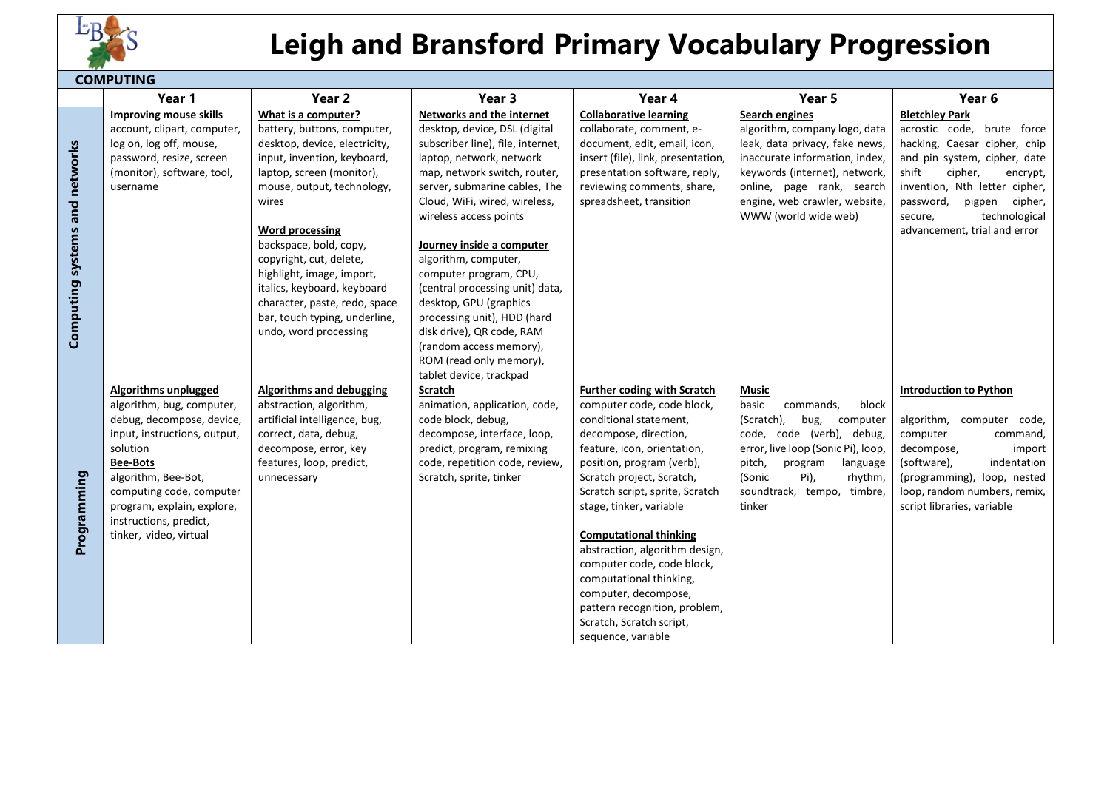

## **Leigh and Bransford Primary Vocabulary Progression**

| <b>COMPUTING</b>               |                              |                               |                                           |                                    |                                    |                               |  |  |  |
|--------------------------------|------------------------------|-------------------------------|-------------------------------------------|------------------------------------|------------------------------------|-------------------------------|--|--|--|
|                                | Year 1                       | Year <sub>2</sub>             | Year <sub>3</sub>                         | Year 4                             | Year 5                             | Year 6                        |  |  |  |
|                                | Improving mouse skills       | What is a computer?           | <b>Networks and the internet</b>          | <b>Collaborative learning</b>      | Search engines                     | <b>Bletchley Park</b>         |  |  |  |
| Computing systems and networks | account, clipart, computer,  | battery, buttons, computer,   | desktop, device, DSL (digital             | collaborate, comment, e-           | algorithm, company logo, data      | acrostic code, brute force    |  |  |  |
|                                | log on, log off, mouse,      | desktop, device, electricity, | subscriber line), file, internet,         | document, edit, email, icon,       | leak, data privacy, fake news,     | hacking, Caesar cipher, chip  |  |  |  |
|                                | password, resize, screen     | input, invention, keyboard,   | laptop, network, network                  | insert (file), link, presentation, | inaccurate information, index,     | and pin system, cipher, date  |  |  |  |
|                                | (monitor), software, tool,   | laptop, screen (monitor),     | map, network switch, router,              | presentation software, reply,      | keywords (internet), network,      | shift<br>cipher,<br>encrypt,  |  |  |  |
|                                | username                     | mouse, output, technology,    | server, submarine cables, The             | reviewing comments, share,         | online, page rank, search          | invention, Nth letter cipher, |  |  |  |
|                                |                              | wires                         | Cloud, WiFi, wired, wireless,             | spreadsheet, transition            | engine, web crawler, website,      | password,<br>pigpen cipher,   |  |  |  |
|                                |                              |                               | wireless access points                    |                                    | WWW (world wide web)               | technological<br>secure,      |  |  |  |
|                                |                              | <b>Word processing</b>        |                                           |                                    |                                    | advancement, trial and error  |  |  |  |
|                                |                              | backspace, bold, copy,        | Journey inside a computer                 |                                    |                                    |                               |  |  |  |
|                                |                              | copyright, cut, delete,       | algorithm, computer,                      |                                    |                                    |                               |  |  |  |
|                                |                              | highlight, image, import,     | computer program, CPU,                    |                                    |                                    |                               |  |  |  |
|                                |                              | italics, keyboard, keyboard   | (central processing unit) data,           |                                    |                                    |                               |  |  |  |
|                                |                              | character, paste, redo, space | desktop, GPU (graphics                    |                                    |                                    |                               |  |  |  |
|                                |                              | bar, touch typing, underline, | processing unit), HDD (hard               |                                    |                                    |                               |  |  |  |
|                                |                              | undo, word processing         | disk drive), QR code, RAM                 |                                    |                                    |                               |  |  |  |
|                                |                              |                               | (random access memory),                   |                                    |                                    |                               |  |  |  |
|                                |                              |                               | ROM (read only memory),                   |                                    |                                    |                               |  |  |  |
|                                | <b>Algorithms unplugged</b>  | Algorithms and debugging      | tablet device, trackpad<br><b>Scratch</b> | <b>Further coding with Scratch</b> | <b>Music</b>                       | <b>Introduction to Python</b> |  |  |  |
|                                | algorithm, bug, computer,    | abstraction, algorithm,       | animation, application, code,             | computer code, code block,         | basic<br>commands,<br>block        |                               |  |  |  |
|                                | debug, decompose, device,    | artificial intelligence, bug, | code block, debug,                        | conditional statement,             | (Scratch),<br>bug,<br>computer     | algorithm,<br>computer code,  |  |  |  |
|                                | input, instructions, output, | correct, data, debug,         | decompose, interface, loop,               | decompose, direction,              | code, code (verb), debug,          | computer<br>command,          |  |  |  |
|                                | solution                     | decompose, error, key         | predict, program, remixing                | feature, icon, orientation,        | error, live loop (Sonic Pi), loop, | decompose,<br>import          |  |  |  |
|                                | <b>Bee-Bots</b>              | features, loop, predict,      | code, repetition code, review,            | position, program (verb),          | pitch,<br>program<br>language      | (software),<br>indentation    |  |  |  |
|                                | algorithm, Bee-Bot,          | unnecessary                   | Scratch, sprite, tinker                   | Scratch project, Scratch,          | (Sonic<br>Pi),<br>rhythm,          | (programming), loop, nested   |  |  |  |
|                                | computing code, computer     |                               |                                           | Scratch script, sprite, Scratch    | soundtrack, tempo, timbre,         | loop, random numbers, remix,  |  |  |  |
|                                | program, explain, explore,   |                               |                                           | stage, tinker, variable            | tinker                             | script libraries, variable    |  |  |  |
| Programming                    | instructions, predict,       |                               |                                           |                                    |                                    |                               |  |  |  |
|                                | tinker, video, virtual       |                               |                                           | <b>Computational thinking</b>      |                                    |                               |  |  |  |
|                                |                              |                               |                                           | abstraction, algorithm design,     |                                    |                               |  |  |  |
|                                |                              |                               |                                           | computer code, code block,         |                                    |                               |  |  |  |
|                                |                              |                               |                                           | computational thinking,            |                                    |                               |  |  |  |
|                                |                              |                               |                                           | computer, decompose,               |                                    |                               |  |  |  |
|                                |                              |                               |                                           | pattern recognition, problem,      |                                    |                               |  |  |  |
|                                |                              |                               |                                           | Scratch, Scratch script,           |                                    |                               |  |  |  |
|                                |                              |                               |                                           | sequence, variable                 |                                    |                               |  |  |  |